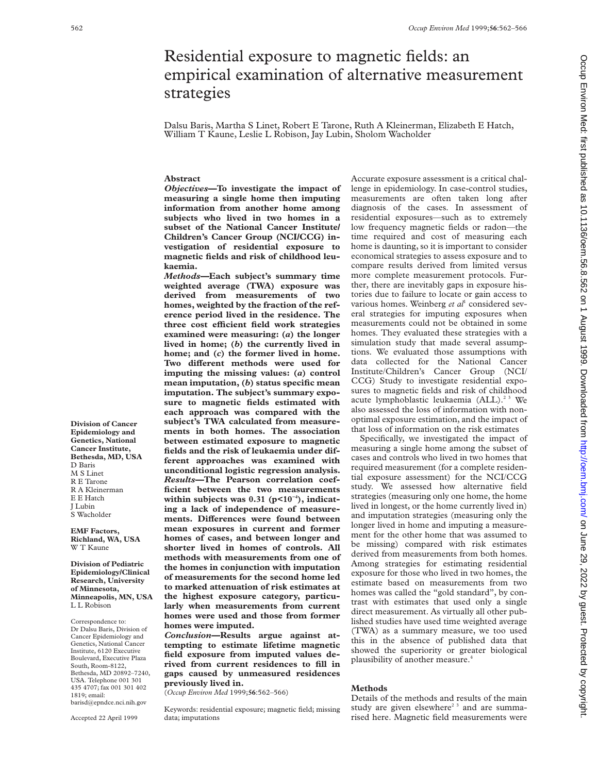# Residential exposure to magnetic fields: an empirical examination of alternative measurement strategies

Dalsu Baris, Martha S Linet, Robert E Tarone, Ruth A Kleinerman, Elizabeth E Hatch, William T Kaune, Leslie L Robison, Jay Lubin, Sholom Wacholder

## **Abstract**

*Objectives***—To investigate the impact of measuring a single home then imputing information from another home among subjects who lived in two homes in a subset of the National Cancer Institute/ Children's Cancer Group (NCI/CCG) investigation of residential exposure to magnetic fields and risk of childhood leukaemia.**

*Methods—***Each subject's summary time weighted average (TWA) exposure was derived from measurements of two homes, weighted by the fraction of the reference period lived in the residence. The three cost eYcient field work strategies examined were measuring: (***a***) the longer lived in home; (***b***) the currently lived in home; and (***c***) the former lived in home.** Two different methods were used for **imputing the missing values: (***a***) control mean imputation, (***b***) status specific mean imputation. The subject's summary exposure to magnetic fields estimated with each approach was compared with the subject's TWA calculated from measurements in both homes. The association between estimated exposure to magnetic fields and the risk of leukaemia under different approaches was examined with unconditional logistic regression analysis.** *Results—***The Pearson correlation coefficient between the two measurements within subjects was 0.31 (p<10−4), indicating a lack of independence of measure**ments. Differences were found between **mean exposures in current and former homes of cases, and between longer and shorter lived in homes of controls. All methods with measurements from one of the homes in conjunction with imputation of measurements for the second home led to marked attenuation of risk estimates at the highest exposure category, particularly when measurements from current homes were used and those from former homes were imputed.**

*Conclusion—***Results argue against attempting to estimate lifetime magnetic field exposure from imputed values derived from current residences to fill in gaps caused by unmeasured residences previously lived in.**

(*Occup Environ Med* 1999;**56**:562–566)

Keywords: residential exposure; magnetic field; missing data; imputations

Accurate exposure assessment is a critical challenge in epidemiology. In case-control studies, measurements are often taken long after diagnosis of the cases. In assessment of residential exposures—such as to extremely low frequency magnetic fields or radon—the time required and cost of measuring each home is daunting, so it is important to consider economical strategies to assess exposure and to compare results derived from limited versus more complete measurement protocols. Further, there are inevitably gaps in exposure histories due to failure to locate or gain access to various homes. Weinberg *et al*<sup>1</sup> considered several strategies for imputing exposures when measurements could not be obtained in some homes. They evaluated these strategies with a simulation study that made several assumptions. We evaluated those assumptions with data collected for the National Cancer Institute/Children's Cancer Group (NCI/ CCG) Study to investigate residential exposures to magnetic fields and risk of childhood acute lymphoblastic leukaemia (ALL).<sup>23</sup> We also assessed the loss of information with nonoptimal exposure estimation, and the impact of that loss of information on the risk estimates

Specifically, we investigated the impact of measuring a single home among the subset of cases and controls who lived in two homes that required measurement (for a complete residential exposure assessment) for the NCI/CCG study. We assessed how alternative field strategies (measuring only one home, the home lived in longest, or the home currently lived in) and imputation strategies (measuring only the longer lived in home and imputing a measurement for the other home that was assumed to be missing) compared with risk estimates derived from measurements from both homes. Among strategies for estimating residential exposure for those who lived in two homes, the estimate based on measurements from two homes was called the "gold standard", by contrast with estimates that used only a single direct measurement. As virtually all other published studies have used time weighted average (TWA) as a summary measure, we too used this in the absence of published data that showed the superiority or greater biological plausibility of another measure.4

#### **Methods**

Details of the methods and results of the main study are given elsewhere<sup>23</sup> and are summarised here. Magnetic field measurements were

barisd@epndce.nci.nih.gov Accepted 22 April 1999

**Division of Pediatric Epidemiology/Clinical Research, University of Minnesota, Minneapolis, MN, USA**

L L Robison Correspondence to: Dr Dalsu Baris, Division of Cancer Epidemiology and Genetics, National Cancer Institute, 6120 Executive Boulevard, Executive Plaza South, Room-8122, Bethesda, MD 20892–7240, USA. Telephone 001 301 435 4707; fax 001 301 402

1819; email:

**Division of Cancer Epidemiology and Genetics, National Cancer Institute, Bethesda, MD, USA**

D Baris M S Linet R E Tarone R A Kleinerman E E Hatch J Lubin S Wacholder **EMF Factors, Richland, WA, USA** W T Kaune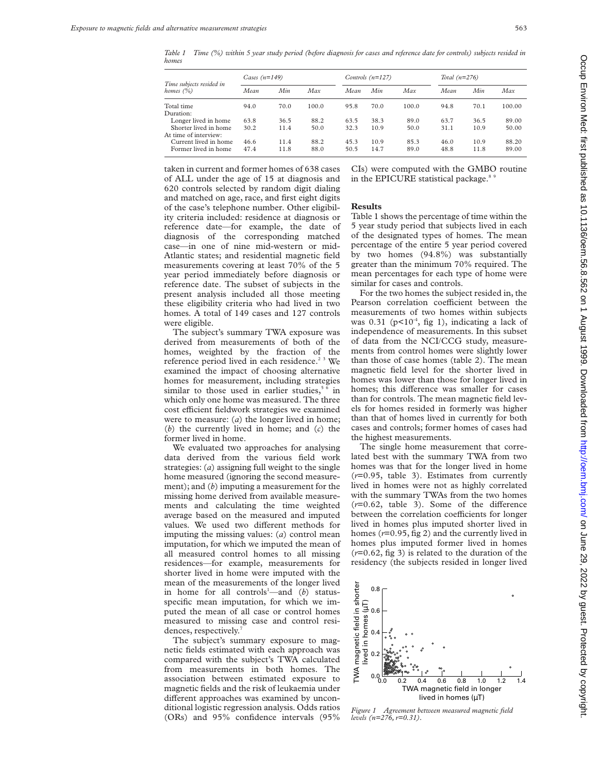*Table 1 Time (%) within 5 year study period (before diagnosis for cases and reference date for controls) subjects resided in homes*

|                                          | Cases $(n=149)$ |      |       |      | Controls $(n=127)$ |       | Total $(n=276)$ |      |        |  |  |
|------------------------------------------|-----------------|------|-------|------|--------------------|-------|-----------------|------|--------|--|--|
| Time subjects resided in<br>homes $(\%)$ | Mean            | Min  | Max   | Mean | Min                | Max   | Min<br>Mean     |      | Max    |  |  |
| Total time                               | 94.0            | 70.0 | 100.0 | 95.8 | 70.0               | 100.0 | 94.8            | 70.1 | 100.00 |  |  |
| Duration:                                |                 |      |       |      |                    |       |                 |      |        |  |  |
| Longer lived in home                     | 63.8            | 36.5 | 88.2  | 63.5 | 38.3               | 89.0  | 63.7            | 36.5 | 89.00  |  |  |
| Shorter lived in home                    | 30.2            | 11.4 | 50.0  | 32.3 | 10.9               | 50.0  | 31.1            | 10.9 | 50.00  |  |  |
| At time of interview:                    |                 |      |       |      |                    |       |                 |      |        |  |  |
| Current lived in home                    | 46.6            | 11.4 | 88.2  | 45.3 | 10.9               | 85.3  | 46.0            | 10.9 | 88.20  |  |  |
| Former lived in home                     | 47.4            | 11.8 | 88.0  | 50.5 | 14.7               | 89.0  | 48.8            | 11.8 | 89.00  |  |  |

taken in current and former homes of 638 cases of ALL under the age of 15 at diagnosis and 620 controls selected by random digit dialing and matched on age, race, and first eight digits of the case's telephone number. Other eligibility criteria included: residence at diagnosis or reference date—for example, the date of diagnosis of the corresponding matched case—in one of nine mid-western or mid-Atlantic states; and residential magnetic field measurements covering at least 70% of the 5 year period immediately before diagnosis or reference date. The subset of subjects in the present analysis included all those meeting these eligibility criteria who had lived in two homes. A total of 149 cases and 127 controls were eligible.

The subject's summary TWA exposure was derived from measurements of both of the homes, weighted by the fraction of the reference period lived in each residence.<sup>23</sup> We examined the impact of choosing alternative homes for measurement, including strategies similar to those used in earlier studies,<sup>56</sup> in which only one home was measured. The three cost efficient fieldwork strategies we examined were to measure: (*a*) the longer lived in home; (*b*) the currently lived in home; and (*c*) the former lived in home.

We evaluated two approaches for analysing data derived from the various field work strategies: (*a*) assigning full weight to the single home measured (ignoring the second measurement); and (*b*) imputing a measurement for the missing home derived from available measurements and calculating the time weighted average based on the measured and imputed values. We used two different methods for imputing the missing values: (*a*) control mean imputation, for which we imputed the mean of all measured control homes to all missing residences—for example, measurements for shorter lived in home were imputed with the mean of the measurements of the longer lived in home for all controls<sup>1</sup>—and (b) statusspecific mean imputation, for which we imputed the mean of all case or control homes measured to missing case and control residences, respectively.

The subject's summary exposure to magnetic fields estimated with each approach was compared with the subject's TWA calculated from measurements in both homes. The association between estimated exposure to magnetic fields and the risk of leukaemia under different approaches was examined by unconditional logistic regression analysis. Odds ratios (ORs) and 95% confidence intervals (95%

CIs) were computed with the GMBO routine in the EPICURE statistical package.<sup>8</sup>

#### **Results**

Table 1 shows the percentage of time within the 5 year study period that subjects lived in each of the designated types of homes. The mean percentage of the entire 5 year period covered by two homes (94.8%) was substantially greater than the minimum 70% required. The mean percentages for each type of home were similar for cases and controls.

For the two homes the subject resided in, the Pearson correlation coefficient between the measurements of two homes within subjects was  $0.31$  ( $p<10^{-4}$ , fig 1), indicating a lack of independence of measurements. In this subset of data from the NCI/CCG study, measurements from control homes were slightly lower than those of case homes (table 2). The mean magnetic field level for the shorter lived in homes was lower than those for longer lived in homes; this difference was smaller for cases than for controls. The mean magnetic field levels for homes resided in formerly was higher than that of homes lived in currently for both cases and controls; former homes of cases had the highest measurements.

The single home measurement that correlated best with the summary TWA from two homes was that for the longer lived in home (*r*=0.95, table 3). Estimates from currently lived in homes were not as highly correlated with the summary TWAs from the two homes  $(r=0.62,$  table 3). Some of the difference between the correlation coefficients for longer lived in homes plus imputed shorter lived in homes (*r*=0.95, fig 2) and the currently lived in homes plus imputed former lived in homes (*r*=0.62, fig 3) is related to the duration of the residency (the subjects resided in longer lived



*Figure 1 Agreement between measured magnetic field levels (n=276, r=0.31).*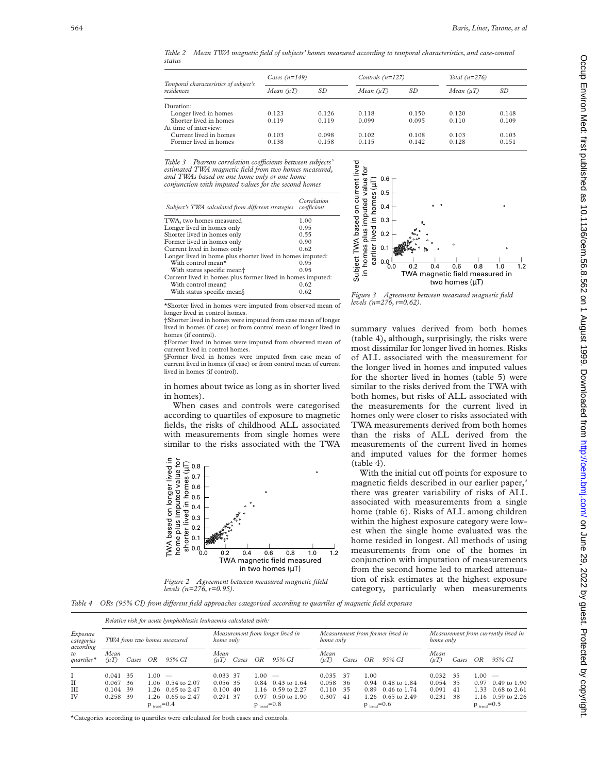*Table 2 Mean TWA magnetic field of subjects' homes measured according to temporal characteristics, and case-control status*

| Temporal characteristics of subject's | Cases $(n=149)$ |       | Controls $(n=127)$ |       | Total $(n=276)$ |       |
|---------------------------------------|-----------------|-------|--------------------|-------|-----------------|-------|
| residences                            | Mean $(\mu T)$  | SD    | Mean (uT)          | SD    | Mean $(\mu T)$  | SD    |
| Duration:                             |                 |       |                    |       |                 |       |
| Longer lived in homes                 | 0.123           | 0.126 | 0.118              | 0.150 | 0.120           | 0.148 |
| Shorter lived in homes                | 0.119           | 0.119 | 0.099              | 0.095 | 0.110           | 0.109 |
| At time of interview:                 |                 |       |                    |       |                 |       |
| Current lived in homes                | 0.103           | 0.098 | 0.102              | 0.108 | 0.103           | 0.103 |
| Former lived in homes                 | 0.138           | 0.158 | 0.115              | 0.142 | 0.128           | 0.151 |
|                                       |                 |       |                    |       |                 |       |

*Table 3 Pearson correlation coeYcients between subjects' estimated TWA magnetic field from two homes measured, and TWAs based on one home only or one home conjunction with imputed values for the second homes*

| Subject's TWA calculated from different strategies         | Correlation<br>coefficient |  |  |  |
|------------------------------------------------------------|----------------------------|--|--|--|
| TWA, two homes measured                                    | 1.00                       |  |  |  |
| Longer lived in homes only                                 | 0.95                       |  |  |  |
| Shorter lived in homes only                                | 0.55                       |  |  |  |
| Former lived in homes only                                 | 0.90                       |  |  |  |
| Current lived in homes only                                | 0.62                       |  |  |  |
| Longer lived in home plus shorter lived in homes imputed:  |                            |  |  |  |
| With control mean*                                         | 0.95                       |  |  |  |
| With status specific mean <sup>+</sup>                     | 095                        |  |  |  |
| Current lived in homes plus former lived in homes imputed: |                            |  |  |  |
| With control mean#                                         | 0.62                       |  |  |  |
| With status specific mean                                  | 0.62                       |  |  |  |

\*Shorter lived in homes were imputed from observed mean of longer lived in control homes.

†Shorter lived in homes were imputed from case mean of longer lived in homes (if case) or from control mean of longer lived in homes (if control).

‡Former lived in homes were imputed from observed mean of current lived in control homes.

§Former lived in homes were imputed from case mean of current lived in homes (if case) or from control mean of current lived in homes (if control).

in homes about twice as long as in shorter lived in homes).

When cases and controls were categorised according to quartiles of exposure to magnetic fields, the risks of childhood ALL associated with measurements from single homes were similar to the risks associated with the TWA



*Figure 2 Agreement between measured magnetic fileld levels (n=276, r=0.95).*



*Figure 3 Agreement between measured magnetic field levels (n=276, r=0.62).*

summary values derived from both homes (table 4), although, surprisingly, the risks were most dissimilar for longer lived in homes. Risks of ALL associated with the measurement for the longer lived in homes and imputed values for the shorter lived in homes (table 5) were similar to the risks derived from the TWA with both homes, but risks of ALL associated with the measurements for the current lived in homes only were closer to risks associated with TWA measurements derived from both homes than the risks of ALL derived from the measurements of the current lived in homes and imputed values for the former homes (table 4).

With the initial cut off points for exposure to magnetic fields described in our earlier paper,<sup>3</sup> there was greater variability of risks of ALL associated with measurements from a single home (table 6). Risks of ALL among children within the highest exposure category were lowest when the single home evaluated was the home resided in longest. All methods of using measurements from one of the homes in conjunction with imputation of measurements from the second home led to marked attenuation of risk estimates at the highest exposure category, particularly when measurements

*Table 4* ORs (95% CI) from different field approaches categorised according to quartiles of magnetic field exposure

| Exposure<br>categories<br>according<br>to<br>$quartiles*$ |                          | Relative risk for acute lymphoblastic leukaemia calculated with: |           |                          |                                  |                          |      |                                               |                   |                          |                          |                                                  |                   |       |      |                     |
|-----------------------------------------------------------|--------------------------|------------------------------------------------------------------|-----------|--------------------------|----------------------------------|--------------------------|------|-----------------------------------------------|-------------------|--------------------------|--------------------------|--------------------------------------------------|-------------------|-------|------|---------------------|
|                                                           |                          | TWA from two homes measured                                      | home only |                          | Measurement from longer lived in |                          |      | Measurement from former lived in<br>home only |                   |                          |                          | Measurement from currently lived in<br>home only |                   |       |      |                     |
|                                                           | Mean<br>$(\mu T)$        | Cases                                                            | OR        | 95% CI                   | Mean<br>$(\mu T)$                | Cases                    | OR   | 95% CI                                        | Mean<br>$(\mu T)$ | Cases                    | OR                       | 95% CI                                           | Mean<br>$(\mu T)$ | Cases | OR   | 95% CI              |
|                                                           | 0.041 35                 |                                                                  | 1.00.     | $\overline{\phantom{m}}$ | 0.033 37                         |                          | 1.00 | $\overline{\phantom{a}}$                      | 0.035             | -37                      | 1.00                     |                                                  | 0.032             | 35    | 1.00 | $\sim$              |
| $_{II}$                                                   | 0.067                    | -36                                                              |           | $1.06$ 0.54 to 2.07      | 0.056 35                         |                          | 0.84 | $0.43$ to 1.64                                | 0.058             | 36                       | 0.94                     | 0.48 to 1.84                                     | 0.054             | 35    |      | 0.97 0.49 to 1.90   |
| III                                                       | 0.104                    | 39                                                               |           | $1.26$ 0.65 to 2.47      | $0.100\ 40$                      |                          |      | $1.16$ 0.59 to 2.27                           | 0.110             | 35                       |                          | $0.89$ $0.46$ to 1.74                            | 0.091             | 41    | 1.33 | $0.68$ to 2.61      |
| IV                                                        | 0.258 39                 |                                                                  |           | 1.26 0.65 to 2.47        | 0.291 37                         |                          |      | $0.97$ 0.50 to 1.90                           | 0.307             | 41                       |                          | $1.26$ 0.65 to 2.49                              | 0.231             | 38    |      | $1.16$ 0.59 to 2.26 |
|                                                           | $p_{\text{trend}} = 0.4$ |                                                                  |           |                          |                                  | $p_{\text{trend}} = 0.8$ |      |                                               |                   | $p_{\text{trend}} = 0.6$ | $p_{\text{trend}} = 0.5$ |                                                  |                   |       |      |                     |

\*Categories according to quartiles were calculated for both cases and controls.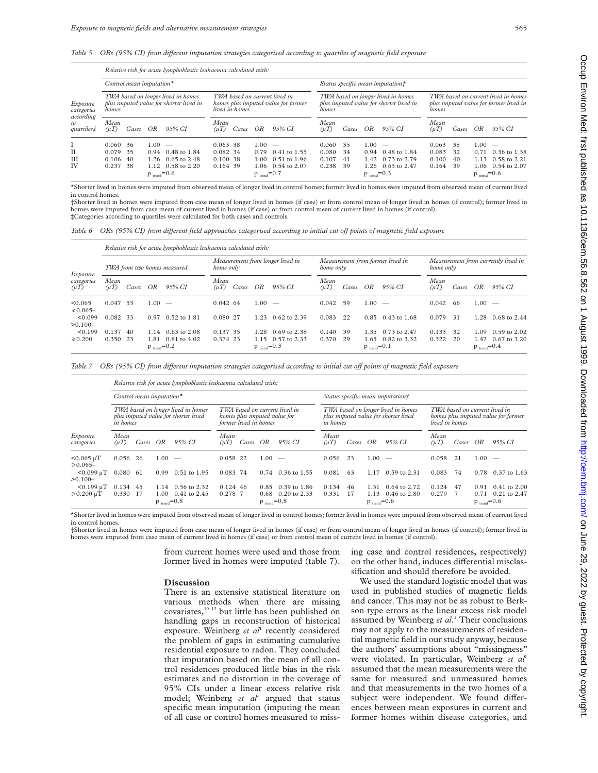*Table 5 ORs (95% CI) from diVerent imputation strategies categorised according to quartiles of magnetic field exposure*

| Exposure<br>categories<br>according<br>tΩ<br><i>quartiles</i> # | Relative risk for acute lymphoblastic leukaemia calculated with: |                                                                               |                                                                                        |                                                                   |                                                |       |                                           |                                                                               |                                                                                        |                      |                                              |                                                          |                                  |                      |                                                      |                                                     |  |  |
|-----------------------------------------------------------------|------------------------------------------------------------------|-------------------------------------------------------------------------------|----------------------------------------------------------------------------------------|-------------------------------------------------------------------|------------------------------------------------|-------|-------------------------------------------|-------------------------------------------------------------------------------|----------------------------------------------------------------------------------------|----------------------|----------------------------------------------|----------------------------------------------------------|----------------------------------|----------------------|------------------------------------------------------|-----------------------------------------------------|--|--|
|                                                                 |                                                                  | Control mean imputation $*$                                                   |                                                                                        |                                                                   |                                                |       |                                           |                                                                               | Status specific mean imputation†                                                       |                      |                                              |                                                          |                                  |                      |                                                      |                                                     |  |  |
|                                                                 | homes                                                            | TWA based on longer lived in homes<br>plus imputed value for shorter lived in | TWA based on current lived in<br>homes plus imputed value for former<br>lived in homes |                                                                   |                                                |       | homes                                     | TWA based on longer lived in homes<br>plus imputed value for shorter lived in | TWA based on current lived in homes<br>plus imputed value for former lived in<br>homes |                      |                                              |                                                          |                                  |                      |                                                      |                                                     |  |  |
|                                                                 | Mean<br>$(\mu T)$                                                | Cases                                                                         | OR                                                                                     | 95% CI                                                            | Mean<br>(uT)                                   | Cases | OR                                        | 95% CI                                                                        | Mean<br>$(\mu T)$                                                                      | Cases                | OR                                           | 95% CI                                                   | Mean<br>$(\mu T)$                | Cases                | OR                                                   | 95% CI                                              |  |  |
| 1<br>$_{\rm II}$<br>Ш<br>IV                                     | 0.060, 36<br>0.079<br>0.106 40<br>0.237                          | 35<br>- 38                                                                    | $1.00 =$<br>$p_{\text{trend}} = 0.6$                                                   | $0.94$ 0.48 to 1.84<br>$1.26$ 0.65 to 2.48<br>$1.12$ 0.58 to 2.20 | 0.063, 38<br>0.082 34<br>0.100, 38<br>0.164 39 |       | $1.00 =$<br>0.79<br>$p_{\text{read}}=0.7$ | $0.41$ to 1.55<br>$1.00 \quad 0.51$ to $1.96$<br>$1.06$ $0.54$ to $2.07$      | 0.060<br>0.080<br>0.107<br>0.238                                                       | 35<br>34<br>41<br>39 | $1.00 =$<br>0.94<br>$p_{\text{trend}} = 0.3$ | 0.48 to 1.84<br>1.42 0.73 to 2.79<br>$1.26$ 0.65 to 2.47 | 0.063<br>0.083<br>0.100<br>0.164 | 38<br>32<br>40<br>39 | $1.00 -$<br>0.71<br>1.13<br>$p_{\text{trend}} = 0.6$ | 0.36 to 1.38<br>$0.58$ to 2.21<br>1.06 0.54 to 2.07 |  |  |

\*Shorter lived in homes were imputed from observed mean of longer lived in control homes; former lived in homes were imputed from observed mean of current lived in control home

†Shorter lived in homes were imputed from case mean of longer lived in homes (if case) or from control mean of longer lived in homes (if control); former lived in homes were imputed from case mean of current lived in homes (if case) or from control mean of current lived in homes (if control). ‡Categories according to quartiles were calculated for both cases and controls.

*Table 6 ORs (95% CI) from diVerent field approaches categorised according to initial cut oV points of magnetic field exposure*

| Exposure<br>categories<br>$(\mu T)$ | Relative risk for acute lymphoblastic leukaemia calculated with: |       |                                          |                                  |                                               |       |                                  |                                     |                                  |                                                  |                                  |                                     |                   |          |                                          |                                  |
|-------------------------------------|------------------------------------------------------------------|-------|------------------------------------------|----------------------------------|-----------------------------------------------|-------|----------------------------------|-------------------------------------|----------------------------------|--------------------------------------------------|----------------------------------|-------------------------------------|-------------------|----------|------------------------------------------|----------------------------------|
|                                     |                                                                  |       | TWA from two homes measured              |                                  | Measurement from longer lived in<br>home only |       |                                  | home only                           | Measurement from former lived in | Measurement from currently lived in<br>home only |                                  |                                     |                   |          |                                          |                                  |
|                                     | Mean<br>$(\mu T)$                                                | Cases | OR                                       | 95% CI                           | Mean<br>$(\mu T)$                             | Cases | OR                               | 95% CI                              | Mean<br>$(\mu T)$                | Cases                                            | OR                               | 95% CI                              | Mean<br>$(\mu T)$ | Cases    | OR                                       | 95% CI                           |
| < 0.065<br>$\ge 0.065 -$            | 0.047                                                            | - 53  | 1.00                                     | $\overline{\phantom{m}}$         | $0.042$ 64                                    |       | 00.1                             | $\sim$                              | 0.042                            | 59                                               | .00.                             | $\overline{\phantom{a}}$            | 0.042             | 66       | 00.1                                     | $\overline{\phantom{a}}$         |
| < 0.099<br>$>0.100-$                | 0.082 33                                                         |       | 0.97                                     | $0.52$ to $1.81$                 | 0.080 27                                      |       | 1.23                             | $0.62$ to 2.39                      | 0.083                            | 22                                               |                                  | $0.85$ $0.43$ to 1.68               | 0.079             | 31       | .28                                      | $0.68$ to 2.44                   |
| < 0.199<br>$\ge 0.200$              | 0.137<br>$0.350$ 23                                              | 40    | 1.14<br>1.81<br>$p_{\text{trend}} = 0.2$ | $0.63$ to $2.08$<br>0.81 to 4.02 | 0.137 35<br>0.374 23                          |       | 1.28<br>$p_{\text{trend}} = 0.3$ | $0.69$ to 2.38<br>1.15 0.57 to 2.33 | 0.140<br>0.370                   | 39<br>29                                         | 1.35<br>$p_{\text{trend}} = 0.1$ | 0.73 to 2.47<br>$1.65$ 0.82 to 3.32 | 0.133<br>0.322    | 32<br>20 | 1.09<br>1.47<br>$p_{\text{trend}} = 0.4$ | $0.59$ to $2.02$<br>0.67 to 3.20 |

*Table 7 ORs (95% CI) from diVerent imputation strategies categorised according to initial cut oV points of magnetic field exposure*

| Exposure<br>categories           | Relative risk for acute lymphoblastic leukaemia calculated with: |                             |                                                                            |                                                                                        |                   |                          |      |                       |                   |                                                                            |                                                                                        |                          |                   |       |      |                  |  |  |  |
|----------------------------------|------------------------------------------------------------------|-----------------------------|----------------------------------------------------------------------------|----------------------------------------------------------------------------------------|-------------------|--------------------------|------|-----------------------|-------------------|----------------------------------------------------------------------------|----------------------------------------------------------------------------------------|--------------------------|-------------------|-------|------|------------------|--|--|--|
|                                  |                                                                  | Control mean imputation $*$ |                                                                            |                                                                                        |                   |                          |      |                       |                   |                                                                            | Status specific mean imputation†                                                       |                          |                   |       |      |                  |  |  |  |
|                                  | in homes                                                         |                             | TWA based on longer lived in homes<br>plus imputed value for shorter lived | TWA based on current lived in<br>homes plus imputed value for<br>former lived in homes |                   |                          |      | <i>in homes</i>       |                   | TWA based on longer lived in homes<br>plus imputed value for shorter lived | TWA based on current lived in<br>homes plus imputed value for former<br>lived in homes |                          |                   |       |      |                  |  |  |  |
|                                  | Mean<br>$(\mu T)$                                                | Cases                       | ΟR                                                                         | 95% CI                                                                                 | Mean<br>$(\mu T)$ | Cases                    | ΟR   | 95% CI                | Mean<br>$(\mu T)$ | Cases                                                                      | OR                                                                                     | 95% CI                   | Mean<br>$(\mu T)$ | Cases | OR   | 95% CI           |  |  |  |
| $< 0.065 \mu T$<br>$\ge 0.065 -$ | 0.056                                                            | 26                          | 1.00                                                                       | $\sim$                                                                                 | 0.058 22          |                          | 1.00 | $\sim$                | 0.056             | 23                                                                         | 1.00                                                                                   | $\overline{\phantom{a}}$ | 0.058             | 21    | 1.00 | $\sim$           |  |  |  |
| $< 0.099$ uT<br>$>0.100-$        | 0.080                                                            | -61                         | 0.99                                                                       | $0.51$ to $1.95$                                                                       | 0.083 74          |                          | 0.74 | $0.36$ to $1.55$      | 0.081             | 63                                                                         | 1.17                                                                                   | 0.59 to 2.31             | 0.083             | 74    | 0.78 | 0.37 to 1.63     |  |  |  |
| $< 0.199$ uT                     | 0.134                                                            | 45                          | 1.14                                                                       | 0.56 to 2.32                                                                           | 0.124 46          |                          |      | $0.85$ $0.39$ to 1.86 | 0.134             | -46                                                                        | 1.31                                                                                   | 0.64 to 2.72             | 0.124             | 47    | 0.91 | $0.41$ to $2.00$ |  |  |  |
| $\geq 0.200$ uT                  | 0.330                                                            | 17                          | 1.00                                                                       | $0.41$ to 2.45                                                                         | 0.278 7           |                          |      | 0.68 0.20 to 2.33     | 0.331             | - 17                                                                       |                                                                                        | 1.13 0.46 to 2.80        | 0.279             |       | 0.71 | $0.21$ to $2.47$ |  |  |  |
| $p_{\text{trend}} = 0.8$         |                                                                  |                             |                                                                            |                                                                                        |                   | $p_{\text{trend}} = 0.8$ |      |                       |                   | $p_{\text{trend}} = 0.6$                                                   |                                                                                        | $p_{\text{trend}} = 0.6$ |                   |       |      |                  |  |  |  |

\*Shorter lived in homes were imputed from observed mean of longer lived in control homes; former lived in homes were imputed from observed mean of current lived in control homes

†Shorter lived in homes were imputed from case mean of longer lived in homes (if case) or from control mean of longer lived in homes (if control); former lived in homes were imputed from case mean of current lived in homes (if case) or from control mean of current lived in homes (if control).

> from current homes were used and those from former lived in homes were imputed (table 7).

### **Discussion**

There is an extensive statistical literature on various methods when there are missing covariates,10–12 but little has been published on handling gaps in reconstruction of historical exposure. Weinberg *et al*<sup>1</sup> recently considered the problem of gaps in estimating cumulative residential exposure to radon. They concluded that imputation based on the mean of all control residences produced little bias in the risk estimates and no distortion in the coverage of 95% CIs under a linear excess relative risk model; Weinberg *et al*<sup>1</sup> argued that status specific mean imputation (imputing the mean of all case or control homes measured to missing case and control residences, respectively) on the other hand, induces differential misclassification and should therefore be avoided.

We used the standard logistic model that was used in published studies of magnetic fields and cancer. This may not be as robust to Berkson type errors as the linear excess risk model assumed by Weinberg *et al*. <sup>1</sup> Their conclusions may not apply to the measurements of residential magnetic field in our study anyway, because the authors' assumptions about "missingness" were violated. In particular, Weinberg et al<sup>1</sup> assumed that the mean measurements were the same for measured and unmeasured homes and that measurements in the two homes of a subject were independent. We found differences between mean exposures in current and former homes within disease categories, and